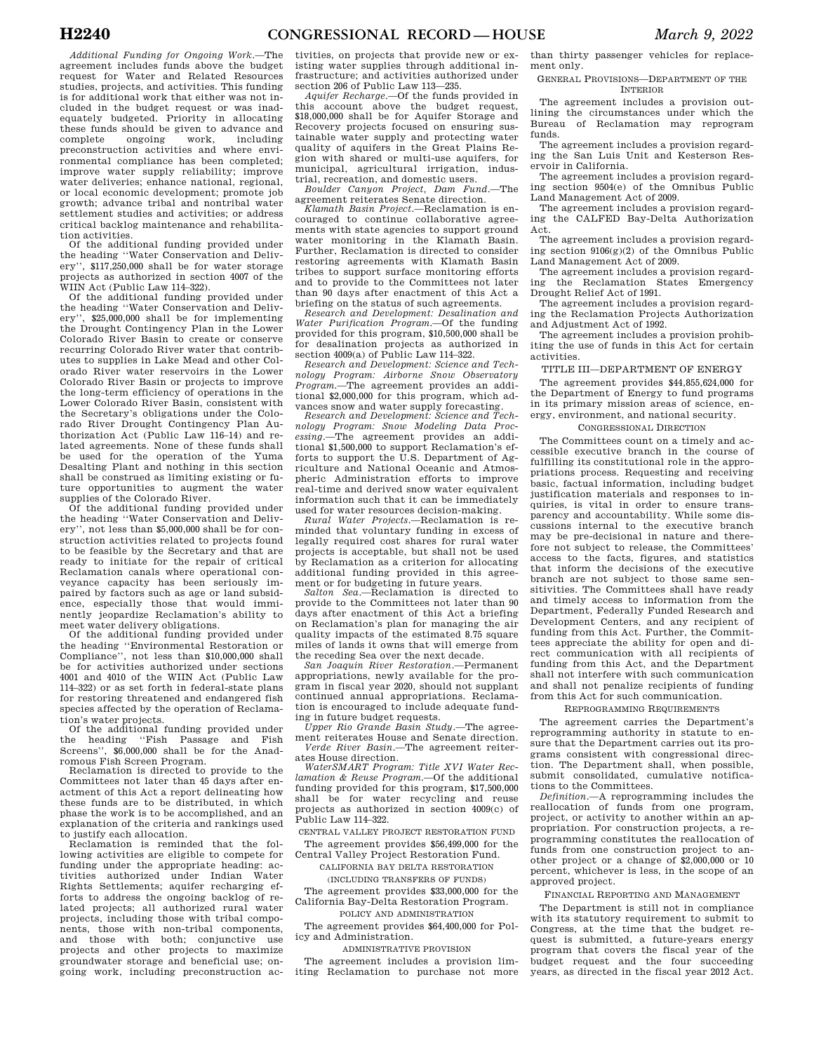*Additional Funding for Ongoing Work*.—The agreement includes funds above the budget request for Water and Related Resources studies, projects, and activities. This funding is for additional work that either was not included in the budget request or was inadequately budgeted. Priority in allocating these funds should be given to advance and<br>complete ongoing work, including complete ongoing preconstruction activities and where environmental compliance has been completed; improve water supply reliability; improve water deliveries; enhance national, regional, or local economic development; promote job growth; advance tribal and nontribal water settlement studies and activities; or address critical backlog maintenance and rehabilitation activities.

Of the additional funding provided under the heading ''Water Conservation and Delivery'', \$117,250,000 shall be for water storage projects as authorized in section 4007 of the WIIN Act (Public Law 114–322).

Of the additional funding provided under the heading ''Water Conservation and Delivery'', \$25,000,000 shall be for implementing the Drought Contingency Plan in the Lower Colorado River Basin to create or conserve recurring Colorado River water that contributes to supplies in Lake Mead and other Colorado River water reservoirs in the Lower Colorado River Basin or projects to improve the long-term efficiency of operations in the Lower Colorado River Basin, consistent with the Secretary's obligations under the Colorado River Drought Contingency Plan Authorization Act (Public Law 116–14) and related agreements. None of these funds shall be used for the operation of the Yuma Desalting Plant and nothing in this section shall be construed as limiting existing or future opportunities to augment the water supplies of the Colorado River.

Of the additional funding provided under the heading ''Water Conservation and Delivery'', not less than \$5,000,000 shall be for construction activities related to projects found to be feasible by the Secretary and that are ready to initiate for the repair of critical Reclamation canals where operational conveyance capacity has been seriously impaired by factors such as age or land subsidence, especially those that would imminently jeopardize Reclamation's ability to meet water delivery obligations.

Of the additional funding provided under the heading ''Environmental Restoration or Compliance'', not less than \$10,000,000 shall be for activities authorized under sections 4001 and 4010 of the WIIN Act (Public Law 114–322) or as set forth in federal-state plans for restoring threatened and endangered fish species affected by the operation of Reclamation's water projects.

Of the additional funding provided under the heading ''Fish Passage and Fish Screens'', \$6,000,000 shall be for the Anadromous Fish Screen Program.

Reclamation is directed to provide to the Committees not later than 45 days after enactment of this Act a report delineating how these funds are to be distributed, in which phase the work is to be accomplished, and an explanation of the criteria and rankings used to justify each allocation.

Reclamation is reminded that the following activities are eligible to compete for funding under the appropriate heading: activities authorized under Indian Water Rights Settlements; aquifer recharging efforts to address the ongoing backlog of related projects; all authorized rural water projects, including those with tribal components, those with non-tribal components, and those with both; conjunctive use projects and other projects to maximize groundwater storage and beneficial use; ongoing work, including preconstruction ac-

tivities, on projects that provide new or existing water supplies through additional infrastructure; and activities authorized under section 206 of Public Law 113—235.

*Aquifer Recharge*.—Of the funds provided in this account above the budget request, \$18,000,000 shall be for Aquifer Storage and Recovery projects focused on ensuring sustainable water supply and protecting water quality of aquifers in the Great Plains Region with shared or multi-use aquifers, for municipal, agricultural irrigation, industrial, recreation, and domestic users.

*Boulder Canyon Project, Dam Fund*.—The agreement reiterates Senate direction.

*Klamath Basin Project*.—Reclamation is encouraged to continue collaborative agreements with state agencies to support ground water monitoring in the Klamath Basin. Further, Reclamation is directed to consider restoring agreements with Klamath Basin tribes to support surface monitoring efforts and to provide to the Committees not later than 90 days after enactment of this Act a briefing on the status of such agreements.

*Research and Development: Desalination and Water Purification Program*.—Of the funding provided for this program, \$10,500,000 shall be for desalination projects as authorized in section 4009(a) of Public Law 114–322.

*Research and Development: Science and Technology Program: Airborne Snow Observatory Program*.—The agreement provides an additional \$2,000,000 for this program, which advances snow and water supply forecasting.

*Research and Development: Science and Technology Program: Snow Modeling Data Processing*.—The agreement provides an additional \$1,500,000 to support Reclamation's efforts to support the U.S. Department of Agriculture and National Oceanic and Atmospheric Administration efforts to improve real-time and derived snow water equivalent information such that it can be immediately

used for water resources decision-making. *Rural Water Projects*.—Reclamation is reminded that voluntary funding in excess of legally required cost shares for rural water projects is acceptable, but shall not be used by Reclamation as a criterion for allocating additional funding provided in this agreement or for budgeting in future years.

*Salton Sea*.—Reclamation is directed to provide to the Committees not later than 90 days after enactment of this Act a briefing on Reclamation's plan for managing the air quality impacts of the estimated 8.75 square miles of lands it owns that will emerge from the receding Sea over the next decade.

*San Joaquin River Restoration*.—Permanent appropriations, newly available for the program in fiscal year 2020, should not supplant continued annual appropriations. Reclamation is encouraged to include adequate funding in future budget requests.

*Upper Rio Grande Basin Study*.—The agreement reiterates House and Senate direction. *Verde River Basin*.—The agreement reiterates House direction.

*WaterSMART Program: Title XVI Water Reclamation & Reuse Program*.—Of the additional funding provided for this program, \$17,500,000 shall be for water recycling and reuse projects as authorized in section 4009(c) of Public Law 114–322.

CENTRAL VALLEY PROJECT RESTORATION FUND The agreement provides \$56,499,000 for the Central Valley Project Restoration Fund.

CALIFORNIA BAY DELTA RESTORATION

(INCLUDING TRANSFERS OF FUNDS)

The agreement provides \$33,000,000 for the California Bay-Delta Restoration Program.

POLICY AND ADMINISTRATION The agreement provides \$64,400,000 for Policy and Administration.

ADMINISTRATIVE PROVISION

The agreement includes a provision limiting Reclamation to purchase not more than thirty passenger vehicles for replacement only.

GENERAL PROVISIONS—DEPARTMENT OF THE INTERIOR

The agreement includes a provision outlining the circumstances under which the Bureau of Reclamation may reprogram funds.

The agreement includes a provision regarding the San Luis Unit and Kesterson Reservoir in California.

The agreement includes a provision regarding section 9504(e) of the Omnibus Public Land Management Act of 2009.

The agreement includes a provision regarding the CALFED Bay-Delta Authorization Act.

The agreement includes a provision regarding section 9106(g)(2) of the Omnibus Public Land Management Act of 2009.

The agreement includes a provision regarding the Reclamation States Emergency Drought Relief Act of 1991.

The agreement includes a provision regarding the Reclamation Projects Authorization and Adjustment Act of 1992.

The agreement includes a provision prohibiting the use of funds in this Act for certain activities.

#### TITLE III—DEPARTMENT OF ENERGY

The agreement provides \$44,855,624,000 for the Department of Energy to fund programs in its primary mission areas of science, energy, environment, and national security.

### CONGRESSIONAL DIRECTION

The Committees count on a timely and accessible executive branch in the course of fulfilling its constitutional role in the appropriations process. Requesting and receiving basic, factual information, including budget justification materials and responses to inquiries, is vital in order to ensure transparency and accountability. While some discussions internal to the executive branch may be pre-decisional in nature and therefore not subject to release, the Committees' access to the facts, figures, and statistics that inform the decisions of the executive branch are not subject to those same sensitivities. The Committees shall have ready and timely access to information from the Department, Federally Funded Research and Development Centers, and any recipient of funding from this Act. Further, the Committees appreciate the ability for open and direct communication with all recipients of funding from this Act, and the Department shall not interfere with such communication and shall not penalize recipients of funding from this Act for such communication.

#### REPROGRAMMING REQUIREMENTS

The agreement carries the Department's reprogramming authority in statute to ensure that the Department carries out its programs consistent with congressional direction. The Department shall, when possible, submit consolidated, cumulative notifications to the Committees.

*Definition.—*A reprogramming includes the reallocation of funds from one program, project, or activity to another within an appropriation. For construction projects, a reprogramming constitutes the reallocation of funds from one construction project to another project or a change of \$2,000,000 or 10 percent, whichever is less, in the scope of an approved project.

#### FINANCIAL REPORTING AND MANAGEMENT

The Department is still not in compliance with its statutory requirement to submit to Congress, at the time that the budget request is submitted, a future-years energy program that covers the fiscal year of the budget request and the four succeeding years, as directed in the fiscal year 2012 Act.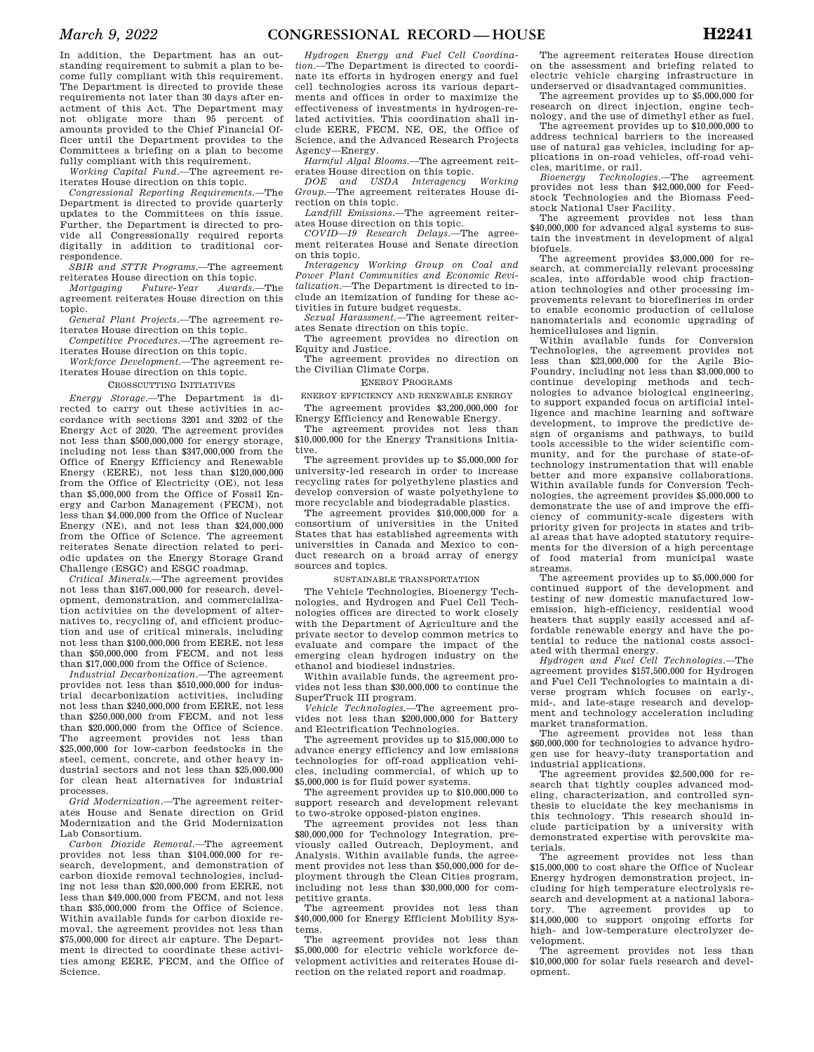In addition, the Department has an outstanding requirement to submit a plan to become fully compliant with this requirement. The Department is directed to provide these requirements not later than 30 days after enactment of this Act. The Department may not obligate more than 95 percent of amounts provided to the Chief Financial Officer until the Department provides to the Committees a briefing on a plan to become fully compliant with this requirement.

*Working Capital Fund.—*The agreement reiterates House direction on this topic.

*Congressional Reporting Requirements.—*The Department is directed to provide quarterly updates to the Committees on this issue. Further, the Department is directed to provide all Congressionally required reports digitally in addition to traditional correspondence.

*SBIR and STTR Programs.—*The agreement reiterates House direction on this topic.<br>Mortgaging Future-Year Awards.—The

 $Future-Year$ agreement reiterates House direction on this topic.

*General Plant Projects.—*The agreement reiterates House direction on this topic.

*Competitive Procedures.—*The agreement reiterates House direction on this topic.

*Workforce Development.—*The agreement reiterates House direction on this topic.

## CROSSCUTTING INITIATIVES

*Energy Storage.—*The Department is directed to carry out these activities in accordance with sections 3201 and 3202 of the Energy Act of 2020. The agreement provides not less than \$500,000,000 for energy storage, including not less than \$347,000,000 from the Office of Energy Efficiency and Renewable Energy (EERE), not less than \$120,000,000 from the Office of Electricity (OE), not less than \$5,000,000 from the Office of Fossil Energy and Carbon Management (FECM), not less than \$4,000,000 from the Office of Nuclear Energy (NE), and not less than \$24,000,000 from the Office of Science. The agreement reiterates Senate direction related to periodic updates on the Energy Storage Grand Challenge (ESGC) and ESGC roadmap.

*Critical Minerals.—*The agreement provides not less than \$167,000,000 for research, development, demonstration, and commercialization activities on the development of alternatives to, recycling of, and efficient production and use of critical minerals, including not less than \$100,000,000 from EERE, not less than \$50,000,000 from FECM, and not less than \$17,000,000 from the Office of Science.

*Industrial Decarbonization.—*The agreement provides not less than \$510,000,000 for industrial decarbonization activities, including not less than \$240,000,000 from EERE, not less than \$250,000,000 from FECM, and not less than \$20,000,000 from the Office of Science. The agreement provides not less than \$25,000,000 for low-carbon feedstocks in the steel, cement, concrete, and other heavy industrial sectors and not less than \$25,000,000 for clean heat alternatives for industrial processes.

*Grid Modernization.—*The agreement reiterates House and Senate direction on Grid Modernization and the Grid Modernization Lab Consortium.

*Carbon Dioxide Removal.—*The agreement provides not less than \$104,000,000 for research, development, and demonstration of carbon dioxide removal technologies, including not less than \$20,000,000 from EERE, not less than \$49,000,000 from FECM, and not less than \$35,000,000 from the Office of Science. Within available funds for carbon dioxide removal, the agreement provides not less than \$75,000,000 for direct air capture. The Department is directed to coordinate these activities among EERE, FECM, and the Office of Science.

*Hydrogen Energy and Fuel Cell Coordination.—*The Department is directed to coordinate its efforts in hydrogen energy and fuel cell technologies across its various departments and offices in order to maximize the effectiveness of investments in hydrogen-related activities. This coordination shall include EERE, FECM, NE, OE, the Office of Science, and the Advanced Research Projects Agency—Energy.

*Harmful Algal Blooms.—*The agreement reiterates House direction on this topic.

*DOE and USDA Interagency Working Group.—*The agreement reiterates House direction on this topic.

*Landfill Emissions.—*The agreement reiterates House direction on this topic.

*COVID—19 Research Delays.—*The agreement reiterates House and Senate direction on this topic.

*Interagency Working Group on Coal and Power Plant Communities and Economic Revitalization.—*The Department is directed to include an itemization of funding for these activities in future budget requests.

*Sexual Harassment.—*The agreement reiterates Senate direction on this topic.

The agreement provides no direction on Equity and Justice.

The agreement provides no direction on the Civilian Climate Corps.

#### ENERGY PROGRAMS

ENERGY EFFICIENCY AND RENEWABLE ENERGY The agreement provides \$3,200,000,000 for

Energy Efficiency and Renewable Energy. The agreement provides not less than \$10,000,000 for the Energy Transitions Initiative.

The agreement provides up to \$5,000,000 for university-led research in order to increase recycling rates for polyethylene plastics and develop conversion of waste polyethylene to more recyclable and biodegradable plastics.

The agreement provides \$10,000,000 for a consortium of universities in the United States that has established agreements with universities in Canada and Mexico to conduct research on a broad array of energy sources and topics.

#### SUSTAINABLE TRANSPORTATION

The Vehicle Technologies, Bioenergy Technologies, and Hydrogen and Fuel Cell Technologies offices are directed to work closely with the Department of Agriculture and the private sector to develop common metrics to evaluate and compare the impact of the emerging clean hydrogen industry on the ethanol and biodiesel industries.

Within available funds, the agreement provides not less than \$30,000,000 to continue the SuperTruck III program.

*Vehicle Technologies.—*The agreement provides not less than \$200,000,000 for Battery and Electrification Technologies.

The agreement provides up to \$15,000,000 to advance energy efficiency and low emissions technologies for off-road application vehicles, including commercial, of which up to \$5,000,000 is for fluid power systems.

The agreement provides up to \$10,000,000 to support research and development relevant to two-stroke opposed-piston engines.

The agreement provides not less than \$80,000,000 for Technology Integration, previously called Outreach, Deployment, and Analysis. Within available funds, the agreement provides not less than \$50,000,000 for deployment through the Clean Cities program, including not less than \$30,000,000 for competitive grants.

The agreement provides not less than \$40,000,000 for Energy Efficient Mobility Systems.<br>The

agreement provides not less than \$5,000,000 for electric vehicle workforce development activities and reiterates House direction on the related report and roadmap.

The agreement reiterates House direction on the assessment and briefing related to electric vehicle charging infrastructure in underserved or disadvantaged communities.

The agreement provides up to \$5,000,000 for research on direct injection, engine technology, and the use of dimethyl ether as fuel.

The agreement provides up to \$10,000,000 to address technical barriers to the increased use of natural gas vehicles, including for applications in on-road vehicles, off-road vehicles, maritime, or rail.

*Bioenergy Technologies.—*The agreement provides not less than \$42,000,000 for Feedstock Technologies and the Biomass Feedstock National User Facility. The agreement provides not less than

\$40,000,000 for advanced algal systems to sustain the investment in development of algal biofuels.

The agreement provides \$3,000,000 for research, at commercially relevant processing scales, into affordable wood chip fractionation technologies and other processing improvements relevant to biorefineries in order to enable economic production of cellulose nanomaterials and economic upgrading of hemicelluloses and lignin.

Within available funds for Conversion Technologies, the agreement provides not less than \$23,000,000 for the Agile Bio-Foundry, including not less than \$3,000,000 to continue developing methods and technologies to advance biological engineering, to support expanded focus on artificial intelligence and machine learning and software development, to improve the predictive design of organisms and pathways, to build tools accessible to the wider scientific community, and for the purchase of state-oftechnology instrumentation that will enable better and more expansive collaborations. Within available funds for Conversion Technologies, the agreement provides \$5,000,000 to demonstrate the use of and improve the efficiency of community-scale digesters with priority given for projects in states and tribal areas that have adopted statutory requirements for the diversion of a high percentage of food material from municipal waste streams.

The agreement provides up to \$5,000,000 for continued support of the development and testing of new domestic manufactured lowemission, high-efficiency, residential wood heaters that supply easily accessed and affordable renewable energy and have the potential to reduce the national costs associ-

ated with thermal energy. *Hydrogen and Fuel Cell Technologies.—*The agreement provides \$157,500,000 for Hydrogen and Fuel Cell Technologies to maintain a diverse program which focuses on early-, mid-, and late-stage research and development and technology acceleration including market transformation.

The agreement provides not less than \$60,000,000 for technologies to advance hydrogen use for heavy-duty transportation and industrial applications.

The agreement provides \$2,500,000 for research that tightly couples advanced modeling, characterization, and controlled synthesis to elucidate the key mechanisms in this technology. This research should include participation by a university with demonstrated expertise with perovskite materials.

The agreement provides not less than \$15,000,000 to cost share the Office of Nuclear Energy hydrogen demonstration project, including for high temperature electrolysis research and development at a national laboratory. The agreement provides up to \$14,000,000 to support ongoing efforts for high- and low-temperature electrolyzer development.

The agreement provides not less than \$10,000,000 for solar fuels research and development.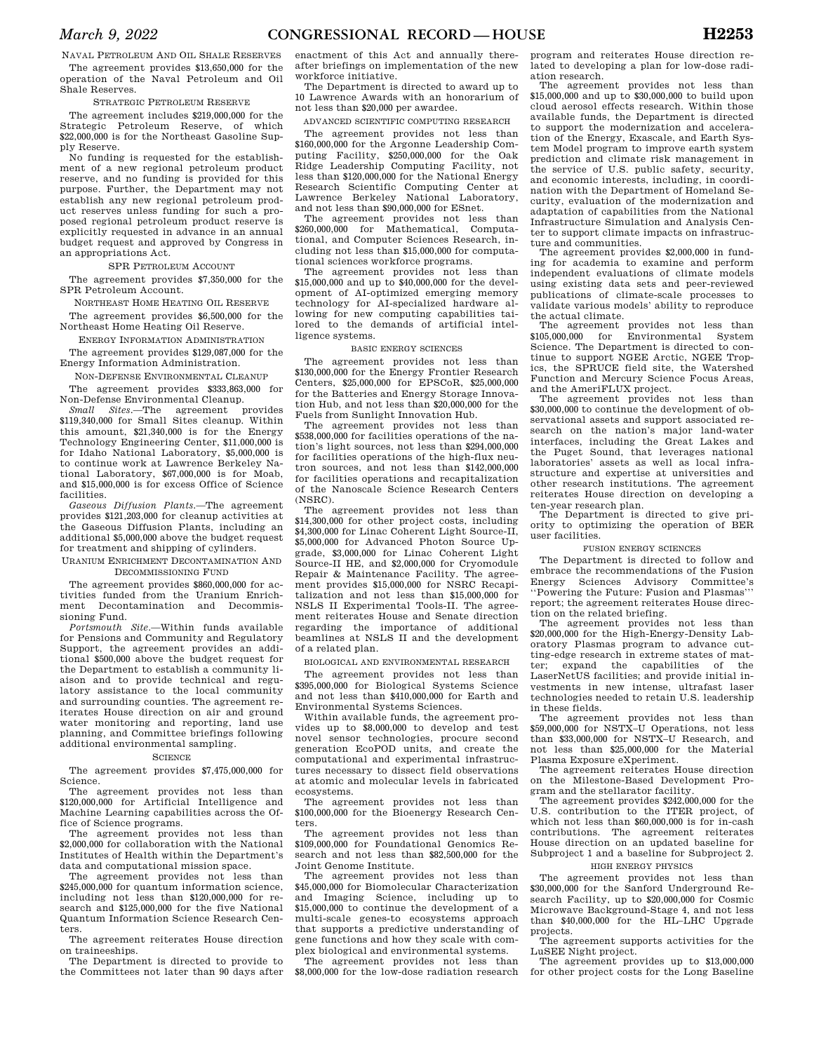NAVAL PETROLEUM AND OIL SHALE RESERVES The agreement provides \$13,650,000 for the operation of the Naval Petroleum and Oil Shale Reserves.

#### STRATEGIC PETROLEUM RESERVE

The agreement includes \$219,000,000 for the Strategic Petroleum Reserve, of which \$22,000,000 is for the Northeast Gasoline Supply Reserve.

No funding is requested for the establishment of a new regional petroleum product reserve, and no funding is provided for this purpose. Further, the Department may not establish any new regional petroleum product reserves unless funding for such a proposed regional petroleum product reserve is explicitly requested in advance in an annual budget request and approved by Congress in an appropriations Act.

### SPR PETROLEUM ACCOUNT

The agreement provides \$7,350,000 for the SPR Petroleum Account.

NORTHEAST HOME HEATING OIL RESERVE The agreement provides \$6,500,000 for the Northeast Home Heating Oil Reserve.

ENERGY INFORMATION ADMINISTRATION

The agreement provides \$129,087,000 for the Energy Information Administration.

NON-DEFENSE ENVIRONMENTAL CLEANUP

The agreement provides \$333,863,000 for Non-Defense Environmental Cleanup.

*Small Sites.*—The agreement provides \$119,340,000 for Small Sites cleanup. Within this amount, \$21,340,000 is for the Energy Technology Engineering Center, \$11,000,000 is for Idaho National Laboratory, \$5,000,000 is to continue work at Lawrence Berkeley National Laboratory, \$67,000,000 is for Moab, and \$15,000,000 is for excess Office of Science facilities.

*Gaseous Diffusion Plants.*—The agreement provides \$121,203,000 for cleanup activities at the Gaseous Diffusion Plants, including an additional \$5,000,000 above the budget request for treatment and shipping of cylinders.

URANIUM ENRICHMENT DECONTAMINATION AND DECOMMISSIONING FUND

The agreement provides \$860,000,000 for activities funded from the Uranium Enrichment Decontamination and Decommissioning Fund.

*Portsmouth Site.*—Within funds available for Pensions and Community and Regulatory Support, the agreement provides an additional \$500,000 above the budget request for the Department to establish a community liaison and to provide technical and regulatory assistance to the local community and surrounding counties. The agreement reiterates House direction on air and ground water monitoring and reporting, land use planning, and Committee briefings following additional environmental sampling.

#### **SCIENCE**

The agreement provides \$7,475,000,000 for Science.

The agreement provides not less than \$120,000,000 for Artificial Intelligence and Machine Learning capabilities across the Office of Science programs.

The agreement provides not less than \$2,000,000 for collaboration with the National Institutes of Health within the Department's data and computational mission space.

The agreement provides not less than \$245,000,000 for quantum information science, including not less than \$120,000,000 for research and \$125,000,000 for the five National Quantum Information Science Research Centers.

The agreement reiterates House direction on traineeships.

The Department is directed to provide to the Committees not later than 90 days after

enactment of this Act and annually thereafter briefings on implementation of the new workforce initiative.

The Department is directed to award up to 10 Lawrence Awards with an honorarium of not less than \$20,000 per awardee.

ADVANCED SCIENTIFIC COMPUTING RESEARCH

The agreement provides not less than \$160,000,000 for the Argonne Leadership Computing Facility, \$250,000,000 for the Oak Ridge Leadership Computing Facility, not less than \$120,000,000 for the National Energy Research Scientific Computing Center at Lawrence Berkeley National Laboratory, and not less than \$90,000,000 for ESnet.

The agreement provides not less than \$260,000,000 for Mathematical, Computational, and Computer Sciences Research, including not less than \$15,000,000 for computational sciences workforce programs.

The agreement provides not less than \$15,000,000 and up to \$40,000,000 for the development of AI-optimized emerging memory technology for AI-specialized hardware allowing for new computing capabilities tailored to the demands of artificial intelligence systems.

### BASIC ENERGY SCIENCES

The agreement provides not less than \$130,000,000 for the Energy Frontier Research Centers, \$25,000,000 for EPSCoR, \$25,000,000 for the Batteries and Energy Storage Innovation Hub, and not less than \$20,000,000 for the Fuels from Sunlight Innovation Hub.

The agreement provides not less than \$538,000,000 for facilities operations of the nation's light sources, not less than \$294,000,000 for facilities operations of the high-flux neutron sources, and not less than \$142,000,000 for facilities operations and recapitalization of the Nanoscale Science Research Centers (NSRC).

The agreement provides not less than \$14,300,000 for other project costs, including \$4,300,000 for Linac Coherent Light Source-II, \$5,000,000 for Advanced Photon Source Upgrade, \$3,000,000 for Linac Coherent Light Source-II HE, and \$2,000,000 for Cryomodule Repair & Maintenance Facility. The agreement provides \$15,000,000 for NSRC Recapitalization and not less than \$15,000,000 for NSLS II Experimental Tools-II. The agreement reiterates House and Senate direction regarding the importance of additional beamlines at NSLS II and the development of a related plan.

BIOLOGICAL AND ENVIRONMENTAL RESEARCH

The agreement provides not less than \$395,000,000 for Biological Systems Science and not less than \$410,000,000 for Earth and Environmental Systems Sciences.

Within available funds, the agreement provides up to \$8,000,000 to develop and test novel sensor technologies, procure second generation EcoPOD units, and create the computational and experimental infrastructures necessary to dissect field observations at atomic and molecular levels in fabricated ecosystems.

The agreement provides not less than \$100,000,000 for the Bioenergy Research Centers.

The agreement provides not less than \$109,000,000 for Foundational Genomics Research and not less than \$82,500,000 for the Joint Genome Institute.

The agreement provides not less than \$45,000,000 for Biomolecular Characterization and Imaging Science, including up to \$15,000,000 to continue the development of a multi-scale genes-to ecosystems approach that supports a predictive understanding of gene functions and how they scale with complex biological and environmental systems.

The agreement provides not less than \$8,000,000 for the low-dose radiation research program and reiterates House direction related to developing a plan for low-dose radiation research.

The agreement provides not less than \$15,000,000 and up to \$30,000,000 to build upon cloud aerosol effects research. Within those available funds, the Department is directed to support the modernization and acceleration of the Energy, Exascale, and Earth System Model program to improve earth system prediction and climate risk management in the service of U.S. public safety, security, and economic interests, including, in coordination with the Department of Homeland Security, evaluation of the modernization and adaptation of capabilities from the National Infrastructure Simulation and Analysis Center to support climate impacts on infrastructure and communities.

The agreement provides \$2,000,000 in funding for academia to examine and perform independent evaluations of climate models using existing data sets and peer-reviewed publications of climate-scale processes to validate various models' ability to reproduce the actual climate.

The agreement provides not less than \$105,000,000 for Environmental System Science. The Department is directed to continue to support NGEE Arctic, NGEE Tropics, the SPRUCE field site, the Watershed Function and Mercury Science Focus Areas, and the AmeriFLUX project.

The agreement provides not less than \$30,000,000 to continue the development of observational assets and support associated research on the nation's major land-water interfaces, including the Great Lakes and the Puget Sound, that leverages national laboratories' assets as well as local infrastructure and expertise at universities and other research institutions. The agreement reiterates House direction on developing a ten-year research plan.

The Department is directed to give priority to optimizing the operation of BER user facilities.

#### FUSION ENERGY SCIENCES

The Department is directed to follow and embrace the recommendations of the Fusion Energy Sciences Advisory Committee's ''Powering the Future: Fusion and Plasmas''' report; the agreement reiterates House direc-

tion on the related briefing. The agreement provides not less than \$20,000,000 for the High-Energy-Density Laboratory Plasmas program to advance cutting-edge research in extreme states of matter; expand the capabilities of the LaserNetUS facilities; and provide initial investments in new intense, ultrafast laser

technologies needed to retain U.S. leadership in these fields. The agreement provides not less than \$59,000,000 for NSTX–U Operations, not less than \$33,000,000 for NSTX–U Research, and not less than \$25,000,000 for the Material Plasma Exposure eXperiment.

The agreement reiterates House direction on the Milestone-Based Development Program and the stellarator facility.

The agreement provides \$242,000,000 for the U.S. contribution to the ITER project, of which not less than \$60,000,000 is for in-cash contributions. The agreement reiterates House direction on an updated baseline for Subproject 1 and a baseline for Subproject 2.

### HIGH ENERGY PHYSICS

The agreement provides not less than \$30,000,000 for the Sanford Underground Research Facility, up to \$20,000,000 for Cosmic Microwave Background-Stage 4, and not less than \$40,000,000 for the HL–LHC Upgrade projects.

The agreement supports activities for the LuSEE Night project.

The agreement provides up to \$13,000,000 for other project costs for the Long Baseline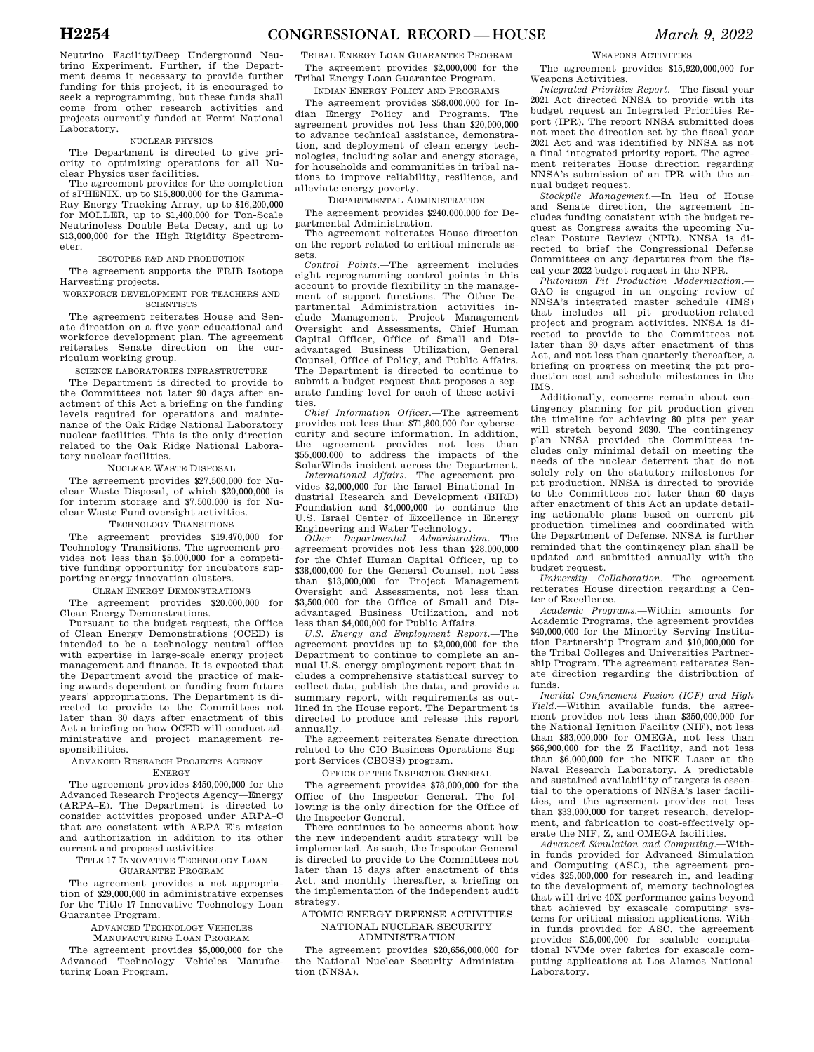Neutrino Facility/Deep Underground Neutrino Experiment. Further, if the Department deems it necessary to provide further funding for this project, it is encouraged to seek a reprogramming, but these funds shall come from other research activities and projects currently funded at Fermi National  $\overline{L}$ aboratory.

#### NUCLEAR PHYSICS

The Department is directed to give priority to optimizing operations for all Nuclear Physics user facilities.

The agreement provides for the completion of sPHENIX, up to \$15,800,000 for the Gamma-Ray Energy Tracking Array, up to \$16,200,000 for MOLLER, up to \$1,400,000 for Ton-Scale Neutrinoless Double Beta Decay, and up to \$13,000,000 for the High Rigidity Spectrometer.

#### ISOTOPES R&D AND PRODUCTION

The agreement supports the FRIB Isotope Harvesting projects.

WORKFORCE DEVELOPMENT FOR TEACHERS AND **SCIENTISTS** 

The agreement reiterates House and Senate direction on a five-year educational and workforce development plan. The agreement reiterates Senate direction on the curriculum working group.

SCIENCE LABORATORIES INFRASTRUCTURE

The Department is directed to provide to the Committees not later 90 days after enactment of this Act a briefing on the funding levels required for operations and maintenance of the Oak Ridge National Laboratory nuclear facilities. This is the only direction related to the Oak Ridge National Laboratory nuclear facilities.

#### NUCLEAR WASTE DISPOSAL

The agreement provides \$27,500,000 for Nuclear Waste Disposal, of which \$20,000,000 is for interim storage and \$7,500,000 is for Nuclear Waste Fund oversight activities.

#### TECHNOLOGY TRANSITIONS

The agreement provides \$19,470,000 for Technology Transitions. The agreement provides not less than \$5,000,000 for a competitive funding opportunity for incubators supporting energy innovation clusters.

### CLEAN ENERGY DEMONSTRATIONS

The agreement provides \$20,000,000 for Clean Energy Demonstrations.

Pursuant to the budget request, the Office of Clean Energy Demonstrations (OCED) is intended to be a technology neutral office with expertise in large-scale energy project management and finance. It is expected that the Department avoid the practice of making awards dependent on funding from future years' appropriations. The Department is directed to provide to the Committees not later than 30 days after enactment of this Act a briefing on how OCED will conduct administrative and project management responsibilities.

#### ADVANCED RESEARCH PROJECTS AGENCY— **ENERGY**

The agreement provides \$450,000,000 for the Advanced Research Projects Agency—Energy (ARPA–E). The Department is directed to consider activities proposed under ARPA–C that are consistent with ARPA–E's mission and authorization in addition to its other current and proposed activities.

TITLE 17 INNOVATIVE TECHNOLOGY LOAN

## GUARANTEE PROGRAM

The agreement provides a net appropriation of \$29,000,000 in administrative expenses for the Title 17 Innovative Technology Loan Guarantee Program.

ADVANCED TECHNOLOGY VEHICLES

MANUFACTURING LOAN PROGRAM

The agreement provides \$5,000,000 for the Advanced Technology Vehicles Manufacturing Loan Program.

TRIBAL ENERGY LOAN GUARANTEE PROGRAM The agreement provides \$2,000,000 for the Tribal Energy Loan Guarantee Program.

## INDIAN ENERGY POLICY AND PROGRAMS

The agreement provides \$58,000,000 for Indian Energy Policy and Programs. The agreement provides not less than \$20,000,000 to advance technical assistance, demonstration, and deployment of clean energy technologies, including solar and energy storage, for households and communities in tribal nations to improve reliability, resilience, and alleviate energy poverty.

DEPARTMENTAL ADMINISTRATION

The agreement provides \$240,000,000 for Departmental Administration.

The agreement reiterates House direction on the report related to critical minerals assets.

*Control Points.*—The agreement includes eight reprogramming control points in this account to provide flexibility in the management of support functions. The Other Departmental Administration activities include Management, Project Management Oversight and Assessments, Chief Human Capital Officer, Office of Small and Disadvantaged Business Utilization, General Counsel, Office of Policy, and Public Affairs. The Department is directed to continue to submit a budget request that proposes a separate funding level for each of these activities.

*Chief Information Officer.*—The agreement provides not less than \$71,800,000 for cybersecurity and secure information. In addition, the agreement provides not less than \$55,000,000 to address the impacts of the SolarWinds incident across the Department.

*International Affairs.*—The agreement provides \$2,000,000 for the Israel Binational Industrial Research and Development (BIRD) Foundation and \$4,000,000 to continue the U.S. Israel Center of Excellence in Energy Engineering and Water Technology.

*Other Departmental Administration.*—The agreement provides not less than \$28,000,000 for the Chief Human Capital Officer, up to \$38,000,000 for the General Counsel, not less than \$13,000,000 for Project Management Oversight and Assessments, not less than \$3,500,000 for the Office of Small and Disadvantaged Business Utilization, and not less than \$4,000,000 for Public Affairs.

*U.S. Energy and Employment Report.*—The agreement provides up to \$2,000,000 for the Department to continue to complete an annual U.S. energy employment report that includes a comprehensive statistical survey to collect data, publish the data, and provide a summary report, with requirements as outlined in the House report. The Department is directed to produce and release this report annually.

The agreement reiterates Senate direction related to the CIO Business Operations Support Services (CBOSS) program.

OFFICE OF THE INSPECTOR GENERAL

The agreement provides \$78,000,000 for the Office of the Inspector General. The following is the only direction for the Office of the Inspector General.

There continues to be concerns about how the new independent audit strategy will be implemented. As such, the Inspector General is directed to provide to the Committees not later than 15 days after enactment of this Act, and monthly thereafter, a briefing on the implementation of the independent audit strategy.

ATOMIC ENERGY DEFENSE ACTIVITIES NATIONAL NUCLEAR SECURITY ADMINISTRATION

The agreement provides \$20,656,000,000 for the National Nuclear Security Administration (NNSA).

#### WEAPONS ACTIVITIES

The agreement provides \$15,920,000,000 for Weapons Activities.

*Integrated Priorities Report.*—The fiscal year 2021 Act directed NNSA to provide with its budget request an Integrated Priorities Report (IPR). The report NNSA submitted does not meet the direction set by the fiscal year 2021 Act and was identified by NNSA as not a final integrated priority report. The agreement reiterates House direction regarding NNSA's submission of an IPR with the annual budget request.

*Stockpile Management.*—In lieu of House and Senate direction, the agreement includes funding consistent with the budget request as Congress awaits the upcoming Nuclear Posture Review (NPR). NNSA is directed to brief the Congressional Defense Committees on any departures from the fiscal year 2022 budget request in the NPR.

*Plutonium Pit Production Modernization*.— GAO is engaged in an ongoing review of NNSA's integrated master schedule (IMS) that includes all pit production-related project and program activities. NNSA is directed to provide to the Committees not later than 30 days after enactment of this Act, and not less than quarterly thereafter, a briefing on progress on meeting the pit production cost and schedule milestones in the IMS.

Additionally, concerns remain about contingency planning for pit production given the timeline for achieving 80 pits per year will stretch beyond 2030. The contingency plan NNSA provided the Committees includes only minimal detail on meeting the needs of the nuclear deterrent that do not solely rely on the statutory milestones for pit production. NNSA is directed to provide to the Committees not later than 60 days after enactment of this Act an update detailing actionable plans based on current pit production timelines and coordinated with the Department of Defense. NNSA is further reminded that the contingency plan shall be updated and submitted annually with the budget request.

*University Collaboration.*—The agreement reiterates House direction regarding a Center of Excellence.

*Academic Programs.*—Within amounts for Academic Programs, the agreement provides \$40,000,000 for the Minority Serving Institution Partnership Program and \$10,000,000 for the Tribal Colleges and Universities Partnership Program. The agreement reiterates Senate direction regarding the distribution of funds.

*Inertial Confinement Fusion (ICF) and High Yield.*—Within available funds, the agreement provides not less than \$350,000,000 for the National Ignition Facility (NIF), not less than \$83,000,000 for OMEGA, not less than \$66,900,000 for the Z Facility, and not less than \$6,000,000 for the NIKE Laser at the Naval Research Laboratory. A predictable and sustained availability of targets is essential to the operations of NNSA's laser facilities, and the agreement provides not less than \$33,000,000 for target research, development, and fabrication to cost-effectively operate the NIF, Z, and OMEGA facilities.

*Advanced Simulation and Computing.*—Within funds provided for Advanced Simulation and Computing (ASC), the agreement provides \$25,000,000 for research in, and leading to the development of, memory technologies that will drive 40X performance gains beyond that achieved by exascale computing systems for critical mission applications. Within funds provided for ASC, the agreement provides \$15,000,000 for scalable computational NVMe over fabrics for exascale computing applications at Los Alamos National Laboratory.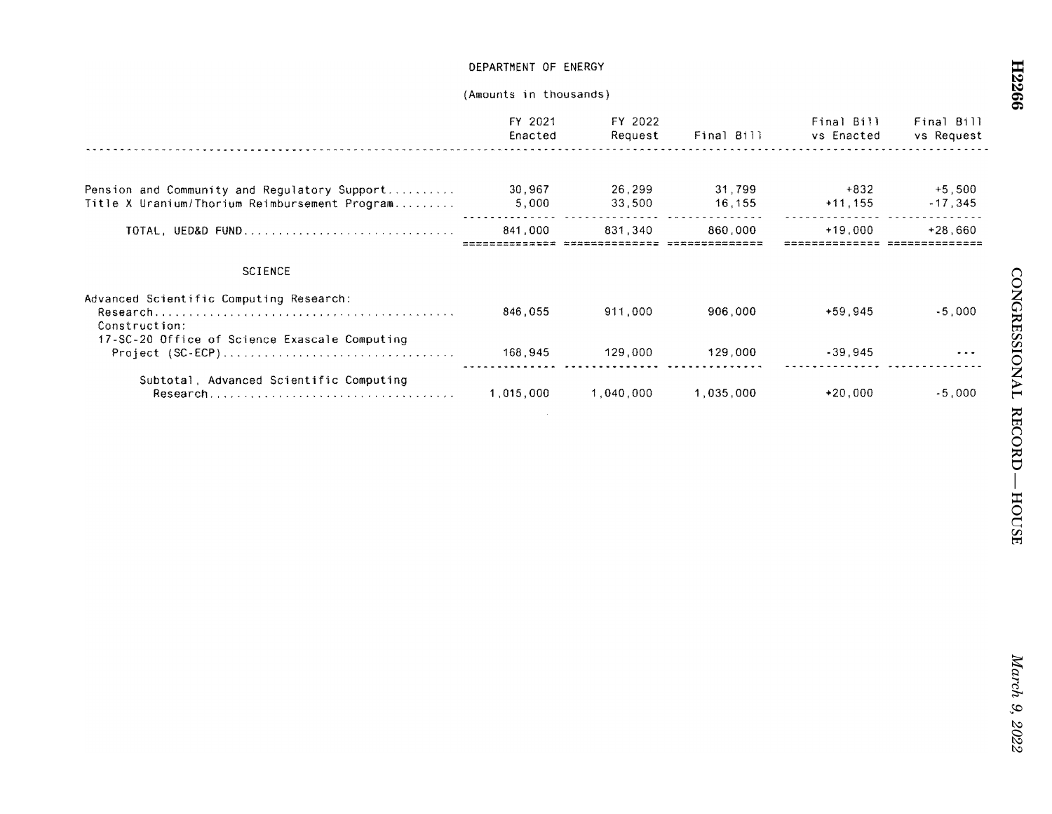|                                               | FY 2021<br>Enacted | FY 2022<br>Request                   | Final Bill | Final Bill<br>vs Enacted          | Final Bill<br>vs Request |
|-----------------------------------------------|--------------------|--------------------------------------|------------|-----------------------------------|--------------------------|
|                                               |                    |                                      |            |                                   |                          |
| Pension and Community and Regulatory Support  | 30.967             | 26.299                               | 31.799     | $+832$                            | $+5.500$                 |
| Title X Uranium/Thorium Reimbursement Program | 5,000              | 33,500                               | 16,155     | $+11, 155$                        | $-17.345$                |
| <b>TOTAL, UED&amp;D FUND</b>                  | 841.000            | 831.340                              | 860.000    | $+19.000$                         | $+28.660$                |
|                                               |                    | _______ ________________ __ ________ |            | ================================= |                          |
| <b>SCIENCE</b>                                |                    |                                      |            |                                   |                          |
| Advanced Scientific Computing Research:       |                    |                                      |            |                                   |                          |
| Construction:                                 | 846,055            | 911,000                              | 906.000    | $+59.945$                         | $-5.000$                 |
| 17-SC-20 Office of Science Exascale Computing |                    |                                      |            |                                   |                          |
|                                               | 168.945            | 129.000                              | 129.000    | $-39.945$                         | $\cdots$                 |
| Subtotal, Advanced Scientific Computing       |                    |                                      |            |                                   |                          |
|                                               | 1,015,000          | 1,040,000                            | 1,035,000  | $+20.000$                         | $-5.000$                 |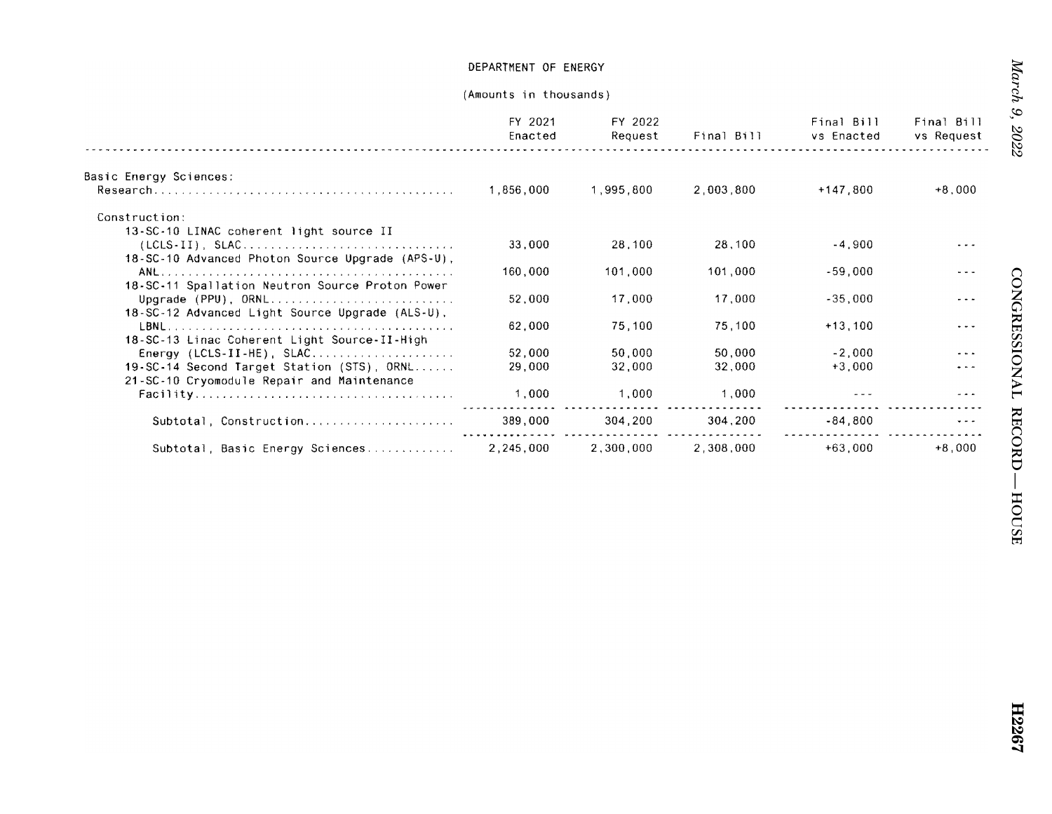|                                                  | FY 2021<br>Enacted | FY 2022<br>Request | Final Bill | Final Bill<br>vs Enacted | Final Bill<br>vs Request |
|--------------------------------------------------|--------------------|--------------------|------------|--------------------------|--------------------------|
| Basic Energy Sciences:                           |                    |                    |            |                          |                          |
|                                                  | 1.856,000          | 1,995.800          | 2,003,800  | $+147,800$               | $+8,000$                 |
| Construction:                                    |                    |                    |            |                          |                          |
| 13-SC-10 LINAC coherent light source II          |                    |                    |            |                          |                          |
|                                                  | 33,000             | 28,100             | 28,100     | $-4.900$                 |                          |
| 18-SC-10 Advanced Photon Source Upgrade (APS-U), |                    |                    |            |                          |                          |
|                                                  | 160,000            | 101.000            | 101,000    | $-59,000$                |                          |
| 18-SC-11 Spallation Neutron Source Proton Power  |                    |                    |            |                          |                          |
|                                                  | 52,000             | 17.000             | 17,000     | $-35,000$                |                          |
| 18-SC-12 Advanced Light Source Upgrade (ALS-U),  |                    |                    |            |                          |                          |
|                                                  | 62.000             | 75,100             | 75,100     | $+13,100$                | .                        |
| 18-SC-13 Linac Coherent Light Source-II-High     |                    |                    |            |                          |                          |
| Energy (LCLS-II-HE), $SLAC$                      | 52,000             | 50.000             | 50,000     | $-2.000$                 |                          |
| 19-SC-14 Second Target Station (STS), ORNL       | 29,000             | 32,000             | 32,000     | $+3,000$                 |                          |
| 21-SC-10 Cryomodule Repair and Maintenance       |                    |                    |            |                          |                          |
|                                                  | 1,000              | 1.000              | 1,000      |                          |                          |
|                                                  |                    |                    |            |                          |                          |
| Subtotal, Construction                           | 389,000            | 304,200            | 304,200    | $-84.800$                |                          |
| Subtotal, Basic Energy Sciences                  | 2.245.000          | 2,300.000          | 2.308.000  | $+63,000$                | $+8.000$                 |
|                                                  |                    |                    |            |                          |                          |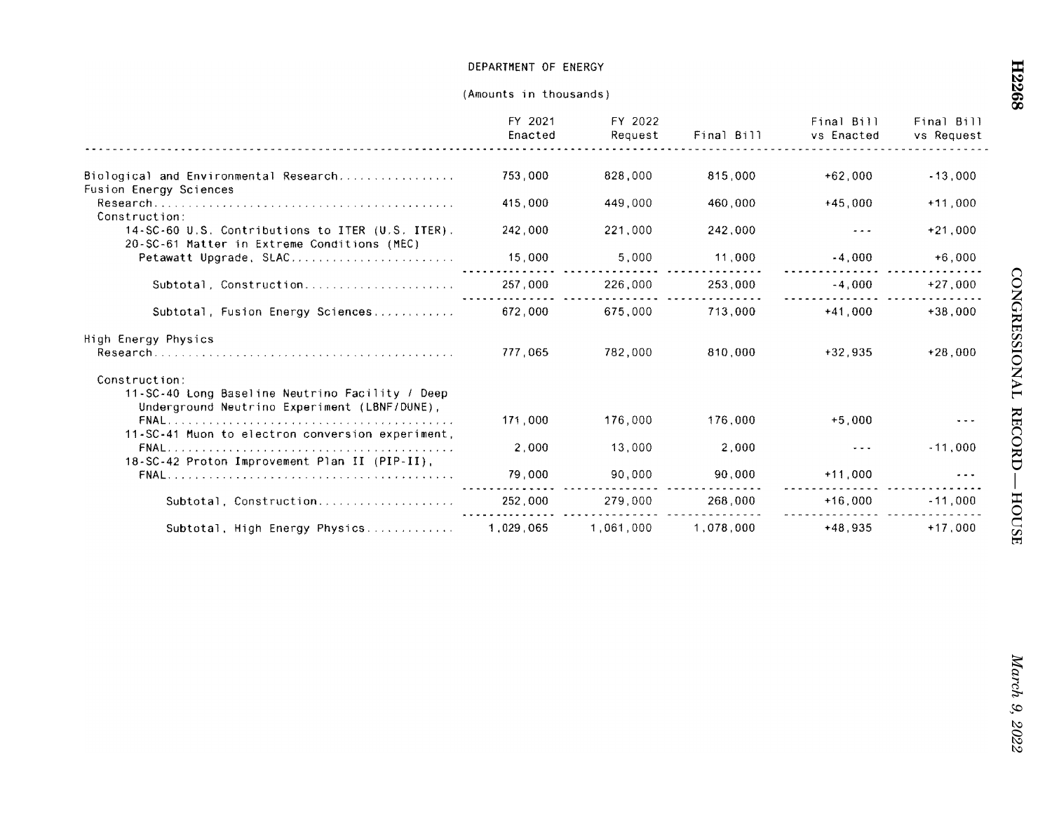|                                                                                                                  | FY 2021<br>Enacted | FY 2022<br>Request | Final Bill | Final Bill<br>vs Enacted | Final Bill<br>vs Request |
|------------------------------------------------------------------------------------------------------------------|--------------------|--------------------|------------|--------------------------|--------------------------|
| Biological and Environmental Research                                                                            | 753,000            | 828,000            | 815,000    | $+62.000$                | $-13,000$                |
| Fusion Energy Sciences<br>Construction:                                                                          | 415,000            | 449,000            | 460.000    | $+45.000$                | $+11.000$                |
| 14-SC-60 U.S. Contributions to ITER (U.S. ITER).<br>20-SC-61 Matter in Extreme Conditions (MEC)                  | 242.000            | 221,000            | 242,000    |                          | $+21,000$                |
| Petawatt Upgrade, SLAC                                                                                           | 15,000             | 5,000              | 11,000     | $-4,000$                 | $+6.000$                 |
| Subtotal, Construction                                                                                           | 257,000            | 226,000            | 253,000    | $-4,000$                 | $+27.000$                |
| Subtotal, Fusion Energy Sciences                                                                                 | 672,000            | 675,000            | 713,000    | $+41.000$                | $+38.000$                |
| High Energy Physics                                                                                              |                    |                    |            |                          |                          |
|                                                                                                                  | 777.065            | 782,000            | 810.000    | $+32.935$                | $+28.000$                |
| Construction:<br>11-SC-40 Long Baseline Neutrino Facility / Deep<br>Underground Neutrino Experiment (LBNF/DUNE), |                    |                    |            |                          |                          |
| 11-SC-41 Muon to electron conversion experiment,                                                                 | 171.000            | 176,000            | 176.000    | $+5.000$                 |                          |
| 18-SC-42 Proton Improvement Plan II (PIP-II),                                                                    | 2.000              | 13,000             | 2,000      |                          | $-11,000$                |
|                                                                                                                  | 79,000             | 90,000             | 90,000     | $+11.000$                |                          |
| Subtotal, Construction                                                                                           | 252.000            | 279.000            | 268,000    | $+16.000$                | $-11.000$                |
| Subtotal, High Energy Physics                                                                                    | 1,029,065          | 1,061,000          | 1,078,000  | $+48,935$                | $+17.000$                |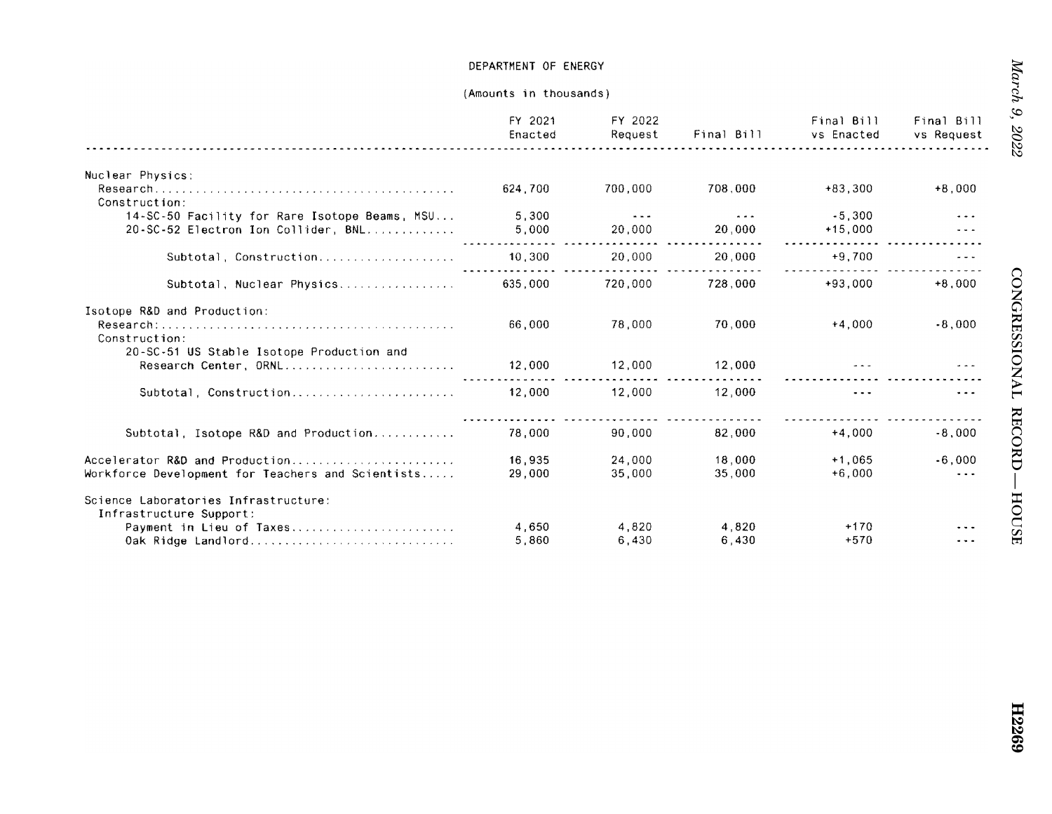|                                                                                      | FY 2021<br>Enacted | FY 2022<br>Request             | Final Bill        | Final Bill<br>vs Enacted | Final Bill<br>vs Request |
|--------------------------------------------------------------------------------------|--------------------|--------------------------------|-------------------|--------------------------|--------------------------|
| Nuclear Physics:                                                                     |                    |                                |                   |                          |                          |
| Construction:                                                                        | 624,700            | 700.000                        | 708.000           | $+83,300$                | $+8.000$                 |
| 14-SC-50 Facility for Rare Isotope Beams, MSU<br>20-SC-52 Electron Ion Collider, BNL | 5,300<br>5,000     | $\sim$ $\sim$ $\sim$<br>20,000 | $- - -$<br>20.000 | $-5.300$<br>$+15,000$    |                          |
| Subtotal, Construction                                                               | 10,300             | 20,000                         | 20,000            | $+9,700$                 |                          |
| Subtotal, Nuclear Physics                                                            | 635,000            | 720,000                        | 728,000           | $+93.000$                | $+8.000$                 |
| Isotope R&D and Production:<br>Construction:                                         | 66,000             | 78,000                         | 70,000            | $+4.000$                 | $-8,000$                 |
| 20-SC-51 US Stable Isotope Production and<br>Research Center, ORNL                   | 12,000             | 12,000                         | 12,000            |                          |                          |
| Subtotal, Construction                                                               | 12,000             | 12,000                         | 12,000            | $- - -$                  |                          |
| Subtotal, Isotope R&D and Production                                                 | 78,000             | 90.000                         | 82,000            | $+4.000$                 | $-8,000$                 |
| Accelerator R&D and Production<br>Workforce Development for Teachers and Scientists  | 16,935<br>29,000   | 24,000<br>35,000               | 18,000<br>35.000  | $+1.065$<br>$+6.000$     | $-6.000$<br>$\ddotsc$    |
| Science Laboratories Infrastructure:<br>Infrastructure Support:                      |                    |                                |                   |                          |                          |
| Payment in Lieu of Taxes<br>Oak Ridge Landlord                                       | 4,650<br>5.860     | 4.820<br>6.430                 | 4.820<br>6 430    | $+170$<br>$+570$         |                          |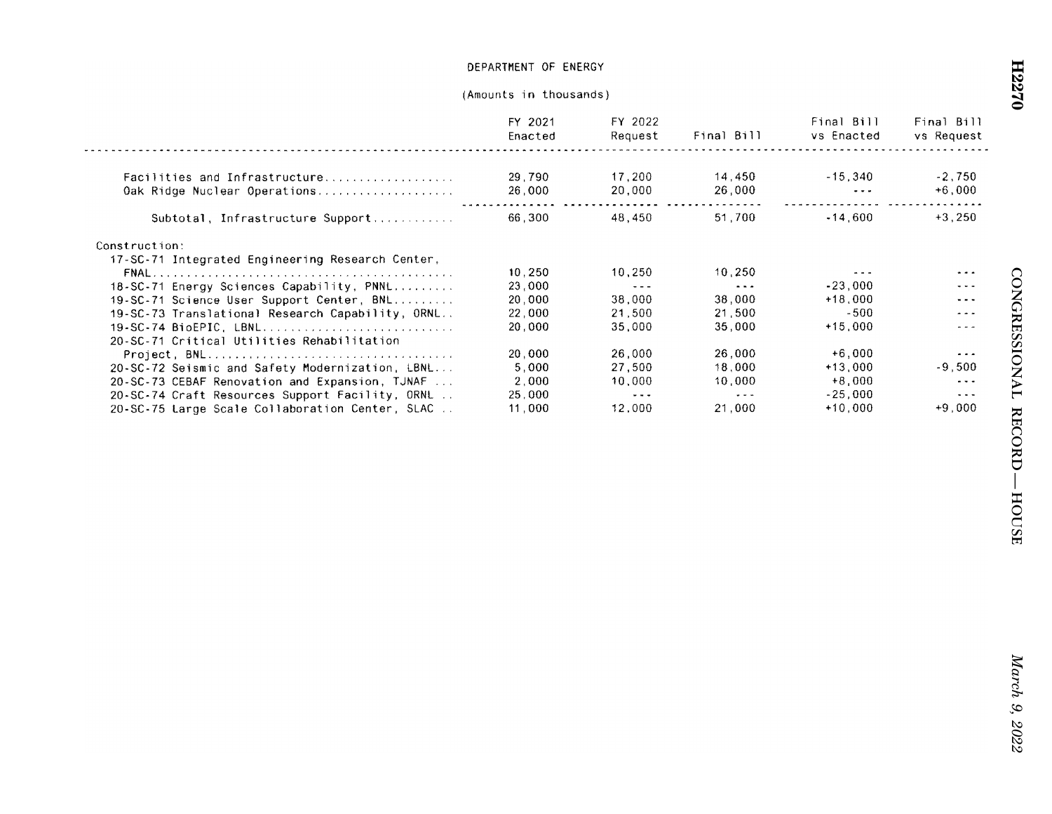|                                                  | FY 2021<br>Enacted | FY 2022<br>Request   | Final Bill           | Final Bill<br>vs Enacted | Final Bill<br>vs Request |
|--------------------------------------------------|--------------------|----------------------|----------------------|--------------------------|--------------------------|
|                                                  |                    |                      |                      |                          |                          |
|                                                  | 29,790             | 17.200               | 14.450               | $-15.340$                | $-2.750$                 |
| Oak Ridge Nuclear Operations                     | 26,000             | 20.000               | 26,000               | $\sim$ $\sim$ $\sim$     | $+6,000$                 |
| Subtotal, Infrastructure Support                 | 66.300             | 48,450               | 51.700               | $-14.600$                | $+3,250$                 |
| Construction:                                    |                    |                      |                      |                          |                          |
| 17-SC-71 Integrated Engineering Research Center, |                    |                      |                      |                          |                          |
|                                                  | 10,250             | 10.250               | 10.250               |                          | .                        |
| 18-SC-71 Energy Sciences Capability, PNNL        | 23,000             | $- - -$              | $\sim$ $\sim$ $\sim$ | $-23.000$                | $- - -$                  |
| 19-SC-71 Science User Support Center, BNL        | 20.000             | 38.000               | 38.000               | $+18.000$                | $\frac{1}{2}$            |
| 19-SC-73 Translational Research Capability, ORNL | 22,000             | 21 500               | 21.500               | -500                     | $\sim$ $\sim$ $\sim$     |
| 19-SC-74 BioEPIC, LBNL                           | 20,000             | 35.000               | 35.000               | $+15,000$                | ---                      |
| 20-SC-71 Critical Utilities Rehabilitation       |                    |                      |                      |                          |                          |
|                                                  | 20,000             | 26.000               | 26,000               | $+6,000$                 | $\cdots$                 |
| 20-SC-72 Seismic and Safety Modernization, LBNL  | 5.000              | 27.500               | 18.000               | $+13.000$                | $-9,500$                 |
| 20-SC-73 CEBAF Renovation and Expansion, TJNAF   | 2.000              | 10.000               | 10.000               | $+8,000$                 | $\cdots$                 |
| 20-SC-74 Craft Resources Support Facility, ORNL  | 25,000             | $\sim$ $\sim$ $\sim$ | $- - -$              | $-25.000$                | $\cdots$                 |
| 20-SC-75 Large Scale Collaboration Center, SLAC  | 11,000             | 12.000               | 21,000               | $+10.000$                | $+9.000$                 |